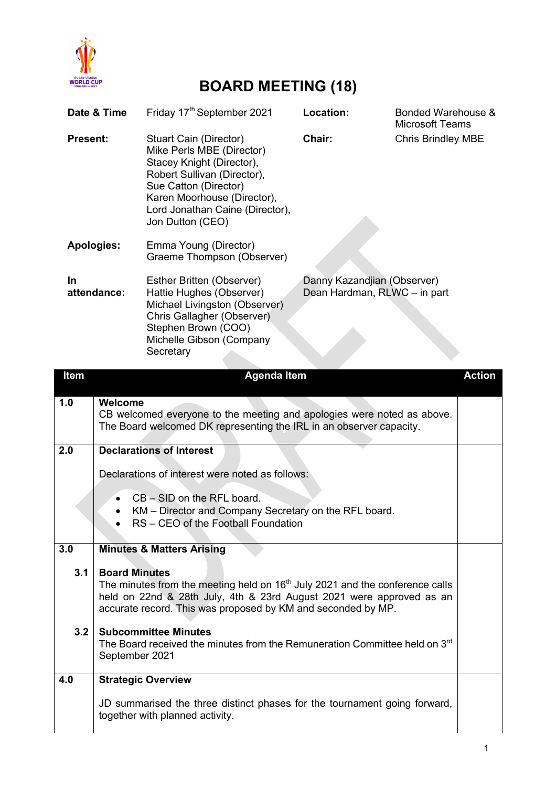

## **BOARD MEETING (18)**

| Date & Time       |                                                                                                                                                          | Friday 17 <sup>th</sup> September 2021                                                                                                                                                                                                | Location:                                                   | Bonded Warehouse &<br><b>Microsoft Teams</b> |               |
|-------------------|----------------------------------------------------------------------------------------------------------------------------------------------------------|---------------------------------------------------------------------------------------------------------------------------------------------------------------------------------------------------------------------------------------|-------------------------------------------------------------|----------------------------------------------|---------------|
| <b>Present:</b>   |                                                                                                                                                          | <b>Stuart Cain (Director)</b><br>Mike Perls MBE (Director)<br>Stacey Knight (Director),<br>Robert Sullivan (Director),<br>Sue Catton (Director)<br>Karen Moorhouse (Director),<br>Lord Jonathan Caine (Director),<br>Jon Dutton (CEO) | Chair:                                                      | <b>Chris Brindley MBE</b>                    |               |
| <b>Apologies:</b> |                                                                                                                                                          | Emma Young (Director)<br>Graeme Thompson (Observer)                                                                                                                                                                                   |                                                             |                                              |               |
| In<br>attendance: |                                                                                                                                                          | Esther Britten (Observer)<br>Hattie Hughes (Observer)<br>Michael Livingston (Observer)<br>Chris Gallagher (Observer)<br>Stephen Brown (COO)<br>Michelle Gibson (Company<br>Secretary                                                  | Danny Kazandjian (Observer)<br>Dean Hardman, RLWC - in part |                                              |               |
| Item              |                                                                                                                                                          | <b>Agenda Item</b>                                                                                                                                                                                                                    |                                                             |                                              | <b>Action</b> |
| 1.0               |                                                                                                                                                          |                                                                                                                                                                                                                                       |                                                             |                                              |               |
|                   | Welcome<br>CB welcomed everyone to the meeting and apologies were noted as above.<br>The Board welcomed DK representing the IRL in an observer capacity. |                                                                                                                                                                                                                                       |                                                             |                                              |               |
| 2.0               |                                                                                                                                                          | <b>Declarations of Interest</b>                                                                                                                                                                                                       |                                                             |                                              |               |
|                   | Declarations of interest were noted as follows:<br>$CB - SID$ on the RFL board.<br>KM – Director and Company Secretary on the RFL board.                 |                                                                                                                                                                                                                                       |                                                             |                                              |               |
|                   |                                                                                                                                                          |                                                                                                                                                                                                                                       |                                                             |                                              |               |
|                   |                                                                                                                                                          |                                                                                                                                                                                                                                       |                                                             |                                              |               |
|                   |                                                                                                                                                          | RS - CEO of the Football Foundation                                                                                                                                                                                                   |                                                             |                                              |               |
| 3.0               |                                                                                                                                                          | <b>Minutes &amp; Matters Arising</b>                                                                                                                                                                                                  |                                                             |                                              |               |
| 3.1               | <b>Board Minutes</b>                                                                                                                                     |                                                                                                                                                                                                                                       |                                                             |                                              |               |
|                   |                                                                                                                                                          | The minutes from the meeting held on $16th$ July 2021 and the conference calls<br>held on 22nd & 28th July, 4th & 23rd August 2021 were approved as an<br>accurate record. This was proposed by KM and seconded by MP.                |                                                             |                                              |               |
| 3.2               | September 2021                                                                                                                                           | <b>Subcommittee Minutes</b><br>The Board received the minutes from the Remuneration Committee held on 3rd                                                                                                                             |                                                             |                                              |               |
| 4.0               | <b>Strategic Overview</b>                                                                                                                                |                                                                                                                                                                                                                                       |                                                             |                                              |               |
|                   |                                                                                                                                                          | JD summarised the three distinct phases for the tournament going forward,<br>together with planned activity.                                                                                                                          |                                                             |                                              |               |